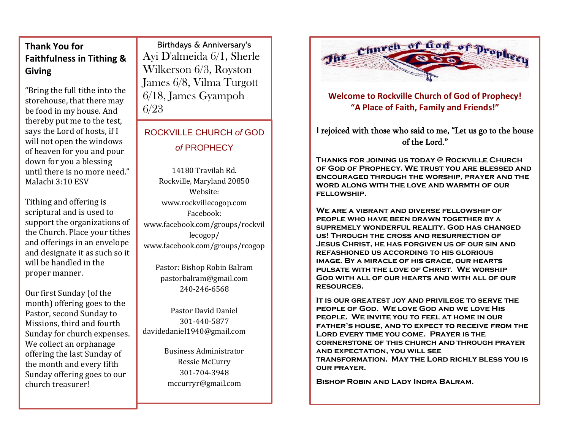# **Thank You for Faithfulness in Tithing & Giving**

"Bring the full tithe into the storehouse, that there may be food in my house. And thereby put me to the test, says the Lord of hosts, if I will not open the windows of heaven for you and pour down for you a blessing until there is no more need." Malachi 3:10 ESV

Tithing and offering is scriptural and is used to support the organizations of the Church. Place your tithes and offerings in an envelope and designate it as such so it will be handled in the proper manner.

Our first Sunday (of the month) offering goes to the Pastor, second Sunday to Missions, third and fourth Sunday for church expenses. We collect an orphanage offering the last Sunday of the month and every fifth Sunday offering goes to our church treasurer!

Birthdays & Anniversary's Ayi D'almeida 6/1, Sherle Wilkerson 6/3, Royston James 6/8, Vilma Turgott 6/18, James Gyampoh 6/23

ROCKVILLE CHURCH *of* GOD *of* PROPHECY

14180 Travilah Rd. Rockville, Maryland 20850 Website: [www.rockvillecogop.com](http://www.rockvillecogop.com/) Facebook: [www.facebook.com/groups/rockvil](http://www.facebook.com/groups/rockvillecogop/) [lecogop/](http://www.facebook.com/groups/rockvillecogop/) [www.facebook.com/groups/rcogop](http://www.facebook.com/groups/rcogop)

Pastor: Bishop Robin Balram [pastorbalram@gmail.com](mailto:pastorbalram@gmail.com) 240-246-6568

Pastor David Daniel 301-440-5877 [davidedaniel1940@gmail.com](mailto:davidedaniel1940@gmail.com)

> Business Administrator Ressie McCurry 301-704-3948 mccurryr@gmail.com



**Welcome to Rockville Church of God of Prophecy! "A Place of Faith, Family and Friends!"**

## **I** rejoiced with those who said to me, "Let us go to the house of the Lord."

**Thanks for joining us today @ Rockville Church of God of Prophecy. We trust you are blessed and encouraged through the worship, prayer and the word along with the love and warmth of our fellowship.** 

**We are a vibrant and diverse fellowship of people who have been drawn together by a supremely wonderful reality. God has changed us! Through the cross and resurrection of Jesus Christ, he has forgiven us of our sin and refashioned us according to his glorious image. By a miracle of his grace, our hearts pulsate with the love of Christ. We worship God with all of our hearts and with all of our resources.** 

**It is our greatest joy and privilege to serve the people of God. We love God and we love His people. We invite you to feel at home in our father's house, and to expect to receive from the Lord every time you come. Prayer is the cornerstone of this church and through prayer and expectation, you will see transformation. May the Lord richly bless you is our prayer.** 

**Bishop Robin and Lady Indra Balram.**